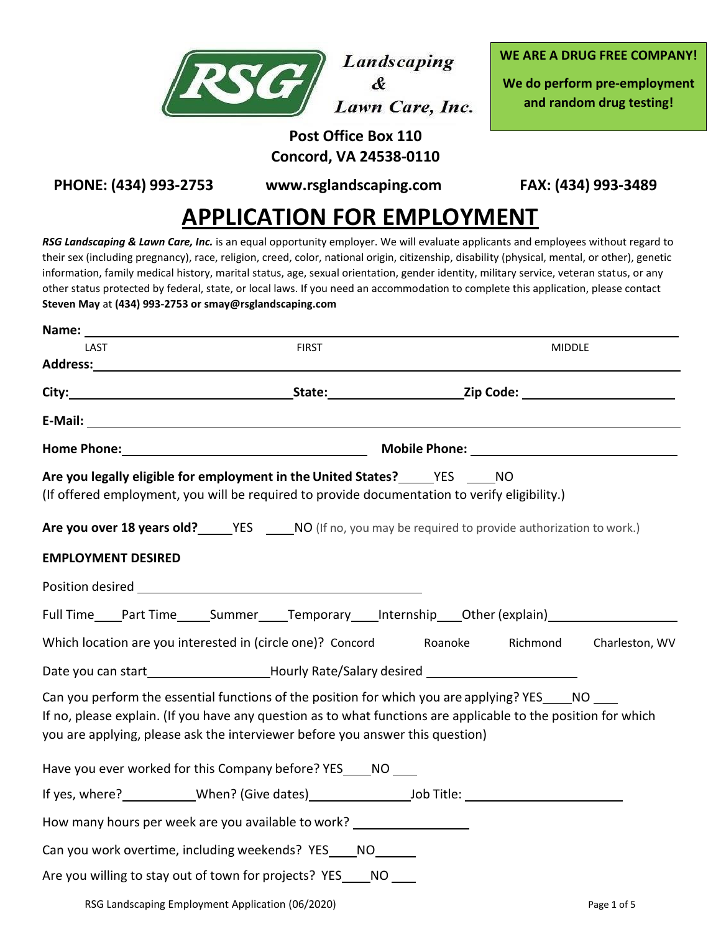

Landscaping  $\mathbf{\hat{R}}$ Lawn Care, Inc. **WE ARE A DRUG FREE COMPANY!**

**We do perform pre-employment and random drug testing!**

## **Post Office Box 110 Concord, VA 24538-0110**

**PHONE: (434) 993-2753 [www.rsglandscaping.com](http://www.rsglandscaping.com/) FAX: (434) 993-3489**

# **APPLICATION FOR EMPLOYMENT**

*RSG Landscaping & Lawn Care, Inc.* is an equal opportunity employer. We will evaluate applicants and employees without regard to their sex (including pregnancy), race, religion, creed, color, national origin, citizenship, disability (physical, mental, or other), genetic information, family medical history, marital status, age, sexual orientation, gender identity, military service, veteran status, or any other status protected by federal, state, or local laws. If you need an accommodation to complete this application, please contact **Steven May** at **(434) 993-2753 o[r smay@rsglandscaping.com](mailto:smay@rsglandscaping.com)**

| LAST                      | <b>FIRST</b>                                                                                                                                                                                                                                                                                            |         | <b>MIDDLE</b> |                |
|---------------------------|---------------------------------------------------------------------------------------------------------------------------------------------------------------------------------------------------------------------------------------------------------------------------------------------------------|---------|---------------|----------------|
|                           |                                                                                                                                                                                                                                                                                                         |         |               |                |
|                           |                                                                                                                                                                                                                                                                                                         |         |               |                |
|                           |                                                                                                                                                                                                                                                                                                         |         |               |                |
|                           |                                                                                                                                                                                                                                                                                                         |         |               |                |
|                           | Are you legally eligible for employment in the United States? _______ YES ______ NO<br>(If offered employment, you will be required to provide documentation to verify eligibility.)                                                                                                                    |         |               |                |
|                           | Are you over 18 years old? _______ YES _______ NO (If no, you may be required to provide authorization to work.)                                                                                                                                                                                        |         |               |                |
| <b>EMPLOYMENT DESIRED</b> |                                                                                                                                                                                                                                                                                                         |         |               |                |
|                           | Position desired <b>Exercise Services</b> and the service of the service of the service of the service of the service of                                                                                                                                                                                |         |               |                |
|                           | Full Time____Part Time_____Summer____Temporary____Internship____Other (explain)_________                                                                                                                                                                                                                |         |               |                |
|                           | Which location are you interested in (circle one)? Concord                                                                                                                                                                                                                                              | Roanoke | Richmond      | Charleston, WV |
|                           | Date you can start__________________________Hourly Rate/Salary desired _____________________________                                                                                                                                                                                                    |         |               |                |
|                           | Can you perform the essential functions of the position for which you are applying? YES ____ NO ____<br>If no, please explain. (If you have any question as to what functions are applicable to the position for which<br>you are applying, please ask the interviewer before you answer this question) |         |               |                |
|                           | Have you ever worked for this Company before? YES_____NO                                                                                                                                                                                                                                                |         |               |                |
|                           | If yes, where? _____________When? (Give dates)__________________________________                                                                                                                                                                                                                        |         |               |                |
|                           | How many hours per week are you available to work?                                                                                                                                                                                                                                                      |         |               |                |
|                           | Can you work overtime, including weekends? YES ____ NO ______                                                                                                                                                                                                                                           |         |               |                |
|                           | Are you willing to stay out of town for projects? YES_____ NO ____                                                                                                                                                                                                                                      |         |               |                |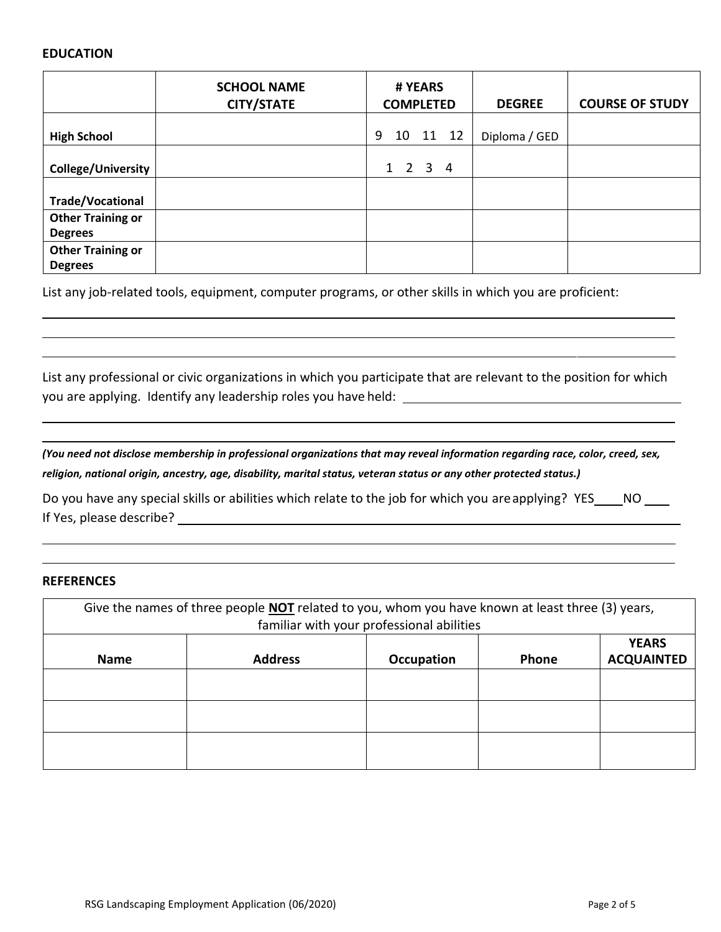#### **EDUCATION**

|                                            | <b>SCHOOL NAME</b><br><b>CITY/STATE</b> | # YEARS<br><b>COMPLETED</b> | <b>DEGREE</b> | <b>COURSE OF STUDY</b> |
|--------------------------------------------|-----------------------------------------|-----------------------------|---------------|------------------------|
| <b>High School</b>                         |                                         | 9<br>11 12<br>10            | Diploma / GED |                        |
| <b>College/University</b>                  |                                         | $1 \t2 \t3 \t4$             |               |                        |
| <b>Trade/Vocational</b>                    |                                         |                             |               |                        |
| <b>Other Training or</b><br><b>Degrees</b> |                                         |                             |               |                        |
| <b>Other Training or</b><br><b>Degrees</b> |                                         |                             |               |                        |

List any job-related tools, equipment, computer programs, or other skills in which you are proficient:

List any professional or civic organizations in which you participate that are relevant to the position for which you are applying. Identify any leadership roles you have held:

*(You need not disclose membership in professional organizations that may reveal information regarding race, color, creed, sex, religion, national origin, ancestry, age, disability, marital status, veteran status or any other protected status.)*

Do you have any special skills or abilities which relate to the job for which you are applying? YES \_\_\_\_ NO \_\_\_ If Yes, please describe?

#### **REFERENCES**

| Give the names of three people <b>NOT</b> related to you, whom you have known at least three (3) years, |                                           |                   |              |                                   |
|---------------------------------------------------------------------------------------------------------|-------------------------------------------|-------------------|--------------|-----------------------------------|
|                                                                                                         | familiar with your professional abilities |                   |              |                                   |
| <b>Name</b>                                                                                             | <b>Address</b>                            | <b>Occupation</b> | <b>Phone</b> | <b>YEARS</b><br><b>ACQUAINTED</b> |
|                                                                                                         |                                           |                   |              |                                   |
|                                                                                                         |                                           |                   |              |                                   |
|                                                                                                         |                                           |                   |              |                                   |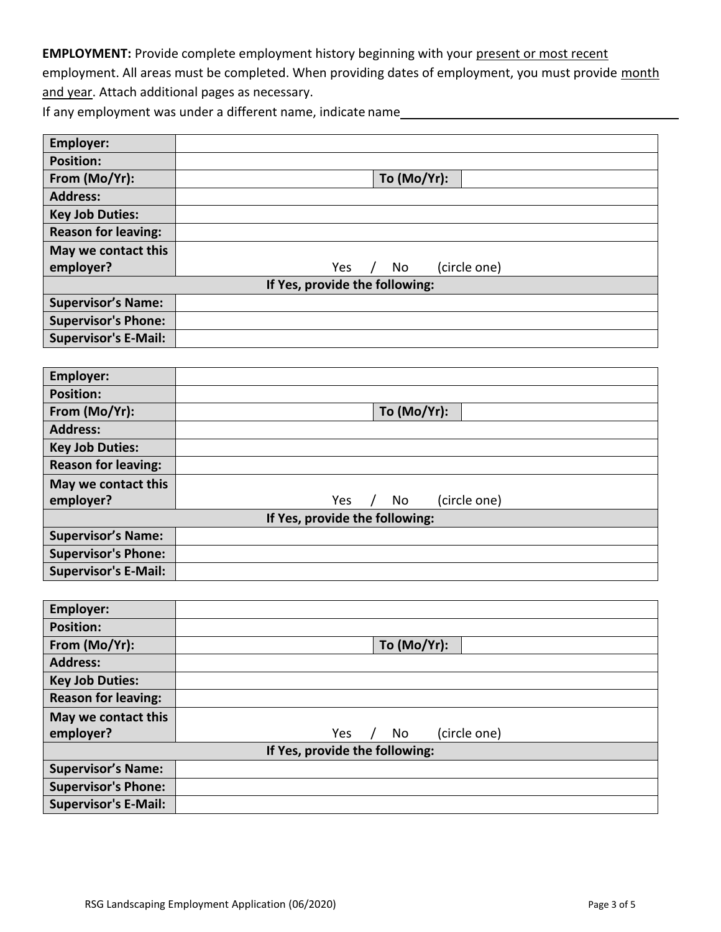**EMPLOYMENT:** Provide complete employment history beginning with your present or most recent

employment. All areas must be completed. When providing dates of employment, you must provide month and year. Attach additional pages as necessary.

If any employment was under a different name, indicate name

| <b>Employer:</b>            |                                              |
|-----------------------------|----------------------------------------------|
| <b>Position:</b>            |                                              |
| From (Mo/Yr):               | To (Mo/Yr):                                  |
| <b>Address:</b>             |                                              |
| <b>Key Job Duties:</b>      |                                              |
| <b>Reason for leaving:</b>  |                                              |
| May we contact this         |                                              |
| employer?                   | (circle one)<br>Yes<br>No                    |
|                             | If Yes, provide the following:               |
| <b>Supervisor's Name:</b>   |                                              |
| <b>Supervisor's Phone:</b>  |                                              |
| <b>Supervisor's E-Mail:</b> |                                              |
|                             |                                              |
| <b>Employer:</b>            |                                              |
| <b>Position:</b>            |                                              |
| From (Mo/Yr):               | To (Mo/Yr):                                  |
| <b>Address:</b>             |                                              |
| <b>Key Job Duties:</b>      |                                              |
| <b>Reason for leaving:</b>  |                                              |
| May we contact this         |                                              |
| employer?                   | No<br>Yes<br>(circle one)<br>$\sqrt{2}$      |
|                             | If Yes, provide the following:               |
| <b>Supervisor's Name:</b>   |                                              |
| <b>Supervisor's Phone:</b>  |                                              |
| <b>Supervisor's E-Mail:</b> |                                              |
|                             |                                              |
| <b>Employer:</b>            |                                              |
| <b>Position:</b>            |                                              |
| From (Mo/Yr):               | To (Mo/Yr):                                  |
| <b>Address:</b>             |                                              |
| <b>Key Job Duties:</b>      |                                              |
| <b>Reason for leaving:</b>  |                                              |
| May we contact this         |                                              |
| employer?                   | <b>No</b><br>(circle one)<br>Yes<br>$\prime$ |

## **If Yes, provide the following:**

| 1.1                        |  |  |
|----------------------------|--|--|
| <b>Supervisor's Name:</b>  |  |  |
| <b>Supervisor's Phone:</b> |  |  |
| Supervisor's E-Mail:       |  |  |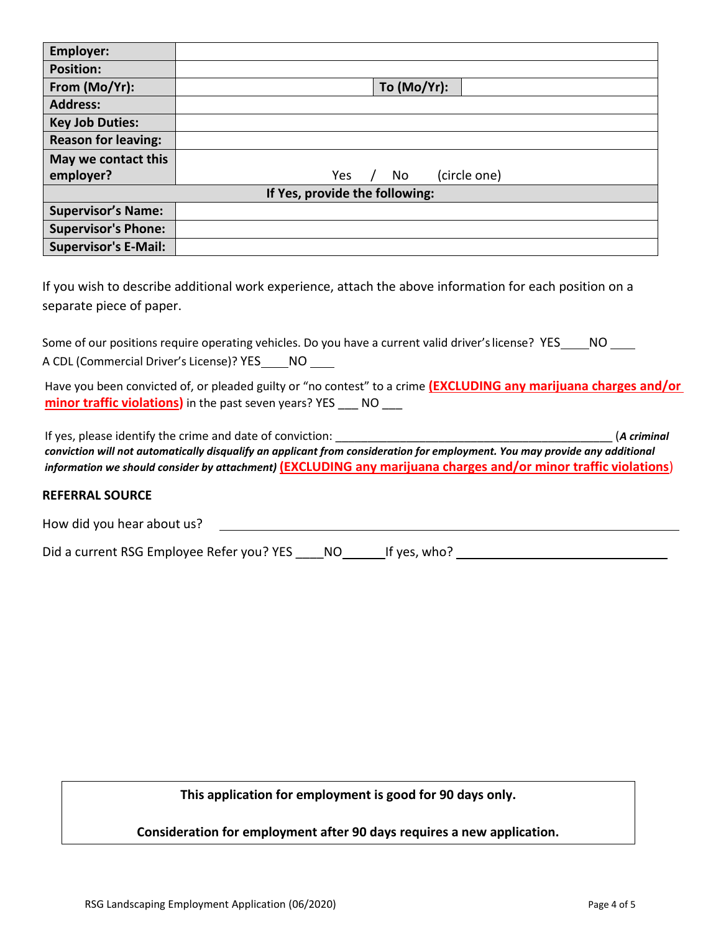| <b>Employer:</b>               |                           |  |  |
|--------------------------------|---------------------------|--|--|
| <b>Position:</b>               |                           |  |  |
| From (Mo/Yr):                  | To (Mo/Yr):               |  |  |
| <b>Address:</b>                |                           |  |  |
| <b>Key Job Duties:</b>         |                           |  |  |
| <b>Reason for leaving:</b>     |                           |  |  |
| May we contact this            |                           |  |  |
| employer?                      | (circle one)<br>Yes<br>No |  |  |
| If Yes, provide the following: |                           |  |  |
| <b>Supervisor's Name:</b>      |                           |  |  |
| <b>Supervisor's Phone:</b>     |                           |  |  |
| <b>Supervisor's E-Mail:</b>    |                           |  |  |

If you wish to describe additional work experience, attach the above information for each position on a separate piece of paper.

Some of our positions require operating vehicles. Do you have a current valid driver's license? YES\_\_\_\_NO \_\_\_ A CDL (Commercial Driver's License)? YES\_\_\_\_NO \_\_\_

Have you been convicted of, or pleaded guilty or "no contest" to a crime **(EXCLUDING any marijuana charges and/or minor traffic violations)** in the past seven years? YES \_\_\_ NO \_\_\_

If yes, please identify the crime and date of conviction: **Example 2018** 2019 12:30 (*A criminal* and *A* criminal *A criminal conviction will not automatically disqualify an applicant from consideration for employment. You may provide any additional information we should consider by attachment)* **(EXCLUDING any marijuana charges and/or minor traffic violations**)

#### **REFERRAL SOURCE**

How did you hear about us?

Did a current RSG Employee Refer you? YES \_\_\_\_NO If yes, who?

**This application for employment is good for 90 days only.**

**Consideration for employment after 90 days requires a new application.**